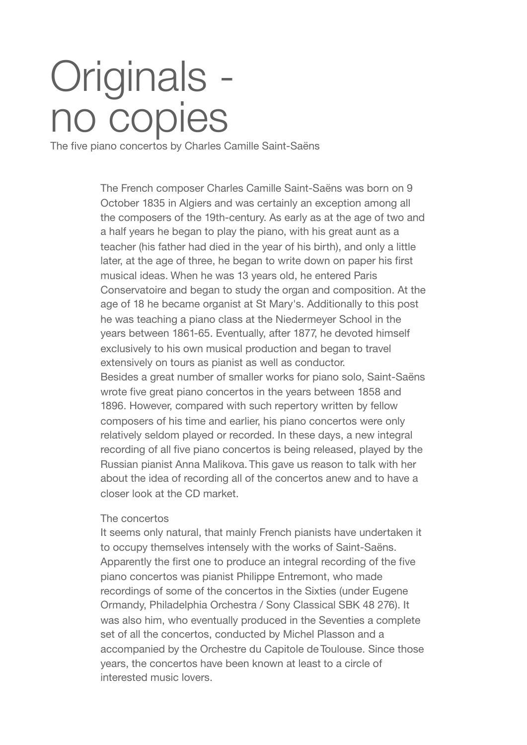## Originals no copies

The five piano concertos by Charles Camille Saint-Saëns

The French composer Charles Camille Saint-Saëns was born on 9 October 1835 in Algiers and was certainly an exception among all the composers of the 19th-century. As early as at the age of two and a half years he began to play the piano, with his great aunt as a teacher (his father had died in the year of his birth), and only a little later, at the age of three, he began to write down on paper his first musical ideas. When he was 13 years old, he entered Paris Conservatoire and began to study the organ and composition. At the age of 18 he became organist at St Mary's. Additionally to this post he was teaching a piano class at the Niedermeyer School in the years between 1861-65. Eventually, after 1877, he devoted himself exclusively to his own musical production and began to travel extensively on tours as pianist as well as conductor. Besides a great number of smaller works for piano solo, Saint-Saëns wrote five great piano concertos in the years between 1858 and 1896. However, compared with such repertory written by fellow composers of his time and earlier, his piano concertos were only relatively seldom played or recorded. In these days, a new integral recording of all five piano concertos is being released, played by the Russian pianist Anna Malikova. This gave us reason to talk with her about the idea of recording all of the concertos anew and to have a closer look at the CD market.

## The concertos

It seems only natural, that mainly French pianists have undertaken it to occupy themselves intensely with the works of Saint-Saëns. Apparently the first one to produce an integral recording of the five piano concertos was pianist Philippe Entremont, who made recordings of some of the concertos in the Sixties (under Eugene Ormandy, Philadelphia Orchestra / Sony Classical SBK 48 276). It was also him, who eventually produced in the Seventies a complete set of all the concertos, conducted by Michel Plasson and a accompanied by the Orchestre du Capitole de Toulouse. Since those years, the concertos have been known at least to a circle of interested music lovers.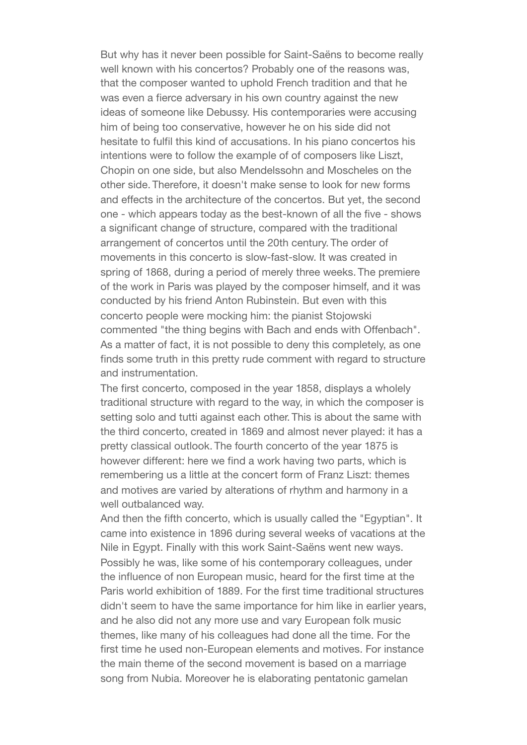But why has it never been possible for Saint-Saëns to become really well known with his concertos? Probably one of the reasons was, that the composer wanted to uphold French tradition and that he was even a fierce adversary in his own country against the new ideas of someone like Debussy. His contemporaries were accusing him of being too conservative, however he on his side did not hesitate to fulfil this kind of accusations. In his piano concertos his intentions were to follow the example of of composers like Liszt, Chopin on one side, but also Mendelssohn and Moscheles on the other side. Therefore, it doesn't make sense to look for new forms and effects in the architecture of the concertos. But yet, the second one - which appears today as the best-known of all the five - shows a significant change of structure, compared with the traditional arrangement of concertos until the 20th century. The order of movements in this concerto is slow-fast-slow. It was created in spring of 1868, during a period of merely three weeks. The premiere of the work in Paris was played by the composer himself, and it was conducted by his friend Anton Rubinstein. But even with this concerto people were mocking him: the pianist Stojowski commented "the thing begins with Bach and ends with Offenbach". As a matter of fact, it is not possible to deny this completely, as one finds some truth in this pretty rude comment with regard to structure and instrumentation.

The first concerto, composed in the year 1858, displays a wholely traditional structure with regard to the way, in which the composer is setting solo and tutti against each other. This is about the same with the third concerto, created in 1869 and almost never played: it has a pretty classical outlook. The fourth concerto of the year 1875 is however different: here we find a work having two parts, which is remembering us a little at the concert form of Franz Liszt: themes and motives are varied by alterations of rhythm and harmony in a well outbalanced way.

And then the fifth concerto, which is usually called the "Egyptian". It came into existence in 1896 during several weeks of vacations at the Nile in Egypt. Finally with this work Saint-Saëns went new ways. Possibly he was, like some of his contemporary colleagues, under the influence of non European music, heard for the first time at the Paris world exhibition of 1889. For the first time traditional structures didn't seem to have the same importance for him like in earlier years, and he also did not any more use and vary European folk music themes, like many of his colleagues had done all the time. For the first time he used non-European elements and motives. For instance the main theme of the second movement is based on a marriage song from Nubia. Moreover he is elaborating pentatonic gamelan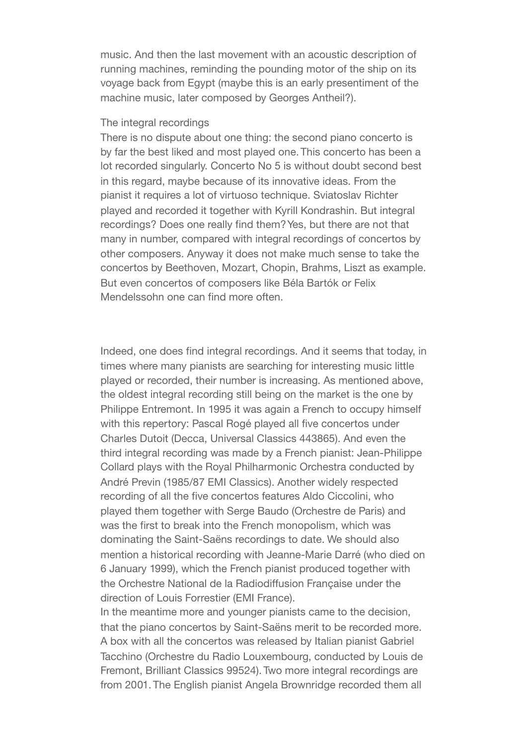music. And then the last movement with an acoustic description of running machines, reminding the pounding motor of the ship on its voyage back from Egypt (maybe this is an early presentiment of the machine music, later composed by Georges Antheil?).

## The integral recordings

There is no dispute about one thing: the second piano concerto is by far the best liked and most played one. This concerto has been a lot recorded singularly. Concerto No 5 is without doubt second best in this regard, maybe because of its innovative ideas. From the pianist it requires a lot of virtuoso technique. Sviatoslav Richter played and recorded it together with Kyrill Kondrashin. But integral recordings? Does one really find them? Yes, but there are not that many in number, compared with integral recordings of concertos by other composers. Anyway it does not make much sense to take the concertos by Beethoven, Mozart, Chopin, Brahms, Liszt as example. But even concertos of composers like Béla Bartók or Felix Mendelssohn one can find more often

Indeed, one does find integral recordings. And it seems that today, in times where many pianists are searching for interesting music little played or recorded, their number is increasing. As mentioned above, the oldest integral recording still being on the market is the one by Philippe Entremont. In 1995 it was again a French to occupy himself with this repertory: Pascal Rogé played all five concertos under Charles Dutoit (Decca, Universal Classics 443865). And even the third integral recording was made by a French pianist: Jean-Philippe Collard plays with the Royal Philharmonic Orchestra conducted by André Previn (1985/87 EMI Classics). Another widely respected recording of all the five concertos features Aldo Ciccolini, who played them together with Serge Baudo (Orchestre de Paris) and was the first to break into the French monopolism, which was dominating the Saint-Saëns recordings to date. We should also mention a historical recording with Jeanne-Marie Darré (who died on 6 January 1999), which the French pianist produced together with the Orchestre National de la Radiodiffusion Française under the direction of Louis Forrestier (EMI France).

In the meantime more and younger pianists came to the decision, that the piano concertos by Saint-Saëns merit to be recorded more. A box with all the concertos was released by Italian pianist Gabriel Tacchino (Orchestre du Radio Louxembourg, conducted by Louis de Fremont, Brilliant Classics 99524). Two more integral recordings are from 2001. The English pianist Angela Brownridge recorded them all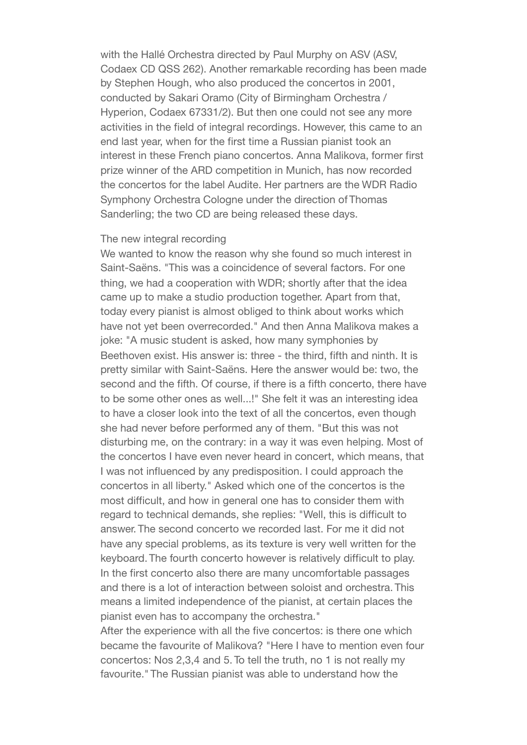with the Hallé Orchestra directed by Paul Murphy on ASV (ASV, Codaex CD QSS 262). Another remarkable recording has been made by Stephen Hough, who also produced the concertos in 2001, conducted by Sakari Oramo (City of Birmingham Orchestra / Hyperion, Codaex 67331/2). But then one could not see any more activities in the field of integral recordings. However, this came to an end last year, when for the first time a Russian pianist took an interest in these French piano concertos. Anna Malikova, former first prize winner of the ARD competition in Munich, has now recorded the concertos for the label Audite. Her partners are the WDR Radio Symphony Orchestra Cologne under the direction of Thomas Sanderling; the two CD are being released these days.

## The new integral recording

We wanted to know the reason why she found so much interest in Saint-Saëns. "This was a coincidence of several factors. For one thing, we had a cooperation with WDR; shortly after that the idea came up to make a studio production together. Apart from that, today every pianist is almost obliged to think about works which have not yet been overrecorded." And then Anna Malikova makes a joke: "A music student is asked, how many symphonies by Beethoven exist. His answer is: three - the third, fifth and ninth. It is pretty similar with Saint-Saëns. Here the answer would be: two, the second and the fifth. Of course, if there is a fifth concerto, there have to be some other ones as well...!" She felt it was an interesting idea to have a closer look into the text of all the concertos, even though she had never before performed any of them. "But this was not disturbing me, on the contrary: in a way it was even helping. Most of the concertos I have even never heard in concert, which means, that I was not influenced by any predisposition. I could approach the concertos in all liberty." Asked which one of the concertos is the most difficult, and how in general one has to consider them with regard to technical demands, she replies: "Well, this is difficult to answer. The second concerto we recorded last. For me it did not have any special problems, as its texture is very well written for the keyboard. The fourth concerto however is relatively difficult to play. In the first concerto also there are many uncomfortable passages and there is a lot of interaction between soloist and orchestra. This means a limited independence of the pianist, at certain places the pianist even has to accompany the orchestra."

After the experience with all the five concertos: is there one which became the favourite of Malikova? "Here I have to mention even four concertos: Nos 2,3,4 and 5. To tell the truth, no 1 is not really my favourite." The Russian pianist was able to understand how the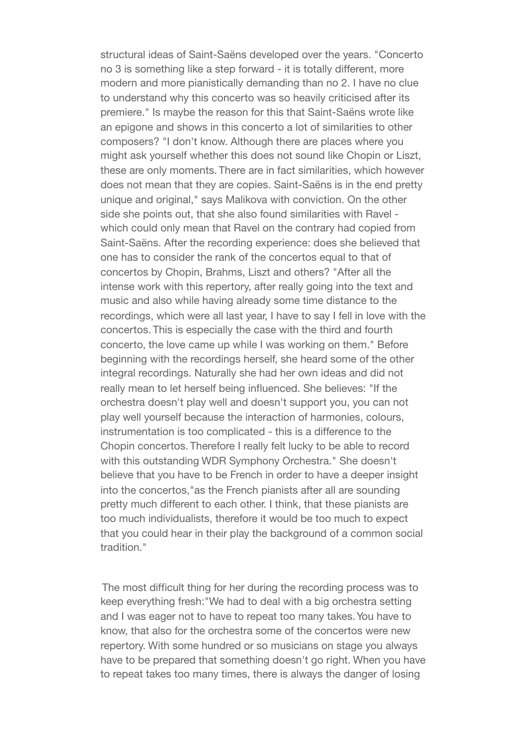structural ideas of Saint-Saëns developed over the years. "Concerto no 3 is something like a step forward - it is totally different, more modern and more pianistically demanding than no 2. I have no clue to understand why this concerto was so heavily criticised after its premiere." Is maybe the reason for this that Saint-Saëns wrote like an epigone and shows in this concerto a lot of similarities to other composers? "I don't know. Although there are places where you might ask yourself whether this does not sound like Chopin or Liszt, these are only moments. There are in fact similarities, which however does not mean that they are copies. Saint-Saëns is in the end pretty unique and original," says Malikova with conviction. On the other side she points out, that she also found similarities with Ravel which could only mean that Ravel on the contrary had copied from Saint-Saëns. After the recording experience: does she believed that one has to consider the rank of the concertos equal to that of concertos by Chopin, Brahms, Liszt and others? "After all the intense work with this repertory, after really going into the text and music and also while having already some time distance to the recordings, which were all last year, I have to say I fell in love with the concertos. This is especially the case with the third and fourth concerto, the love came up while I was working on them." Before beginning with the recordings herself, she heard some of the other integral recordings. Naturally she had her own ideas and did not really mean to let herself being influenced. She believes: "If the orchestra doesn't play well and doesn't support you, you can not play well yourself because the interaction of harmonies, colours, instrumentation is too complicated - this is a difference to the Chopin concertos. Therefore I really felt lucky to be able to record with this outstanding WDR Symphony Orchestra." She doesn't believe that you have to be French in order to have a deeper insight into the concertos,"as the French pianists after all are sounding pretty much different to each other. I think, that these pianists are too much individualists, therefore it would be too much to expect that you could hear in their play the background of a common social tradition."

 The most difficult thing for her during the recording process was to keep everything fresh:"We had to deal with a big orchestra setting and I was eager not to have to repeat too many takes. You have to know, that also for the orchestra some of the concertos were new repertory. With some hundred or so musicians on stage you always have to be prepared that something doesn't go right. When you have to repeat takes too many times, there is always the danger of losing